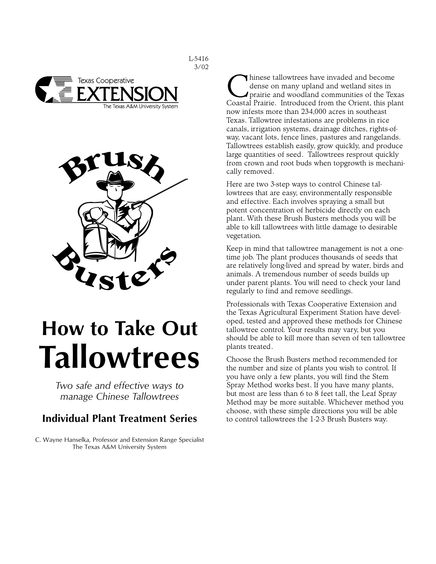



# **How to Take Out Tallowtrees**

*Two safe and effective ways to manage Chinese Tallowtrees*

# **Individual Plant Treatment Series**

C. Wayne Hanselka, Professor and Extension Range Specialist The Texas A&M University System

I hinese tallowtrees have invaded and become dense on many upland and wetland sites in prairie and woodland communities of the Texas Coastal Prairie. Introduced from the Orient, this plant now infests more than 234,000 acres in southeast Texas. Tallowtree infestations are problems in rice canals, irrigation systems, drainage ditches, rights-ofway, vacant lots, fence lines, pastures and rangelands. Tallowtrees establish easily, grow quickly, and produce large quantities of seed. Tallowtrees resprout quickly from crown and root buds when topgrowth is mechanically removed.

Here are two 3-step ways to control Chinese tallowtrees that are easy, environmentally responsible and effective. Each involves spraying a small but potent concentration of herbicide directly on each plant. With these Brush Busters methods you will be able to kill tallowtrees with little damage to desirable vegetation.

Keep in mind that tallowtree management is not a onetime job. The plant produces thousands of seeds that are relatively long-lived and spread by water, birds and animals. A tremendous number of seeds builds up under parent plants. You will need to check your land regularly to find and remove seedlings.

Professionals with Texas Cooperative Extension and the Texas Agricultural Experiment Station have developed, tested and approved these methods for Chinese tallowtree control. Your results may vary, but you should be able to kill more than seven of ten tallowtree plants treated.

Choose the Brush Busters method recommended for the number and size of plants you wish to control. If you have only a few plants, you will find the Stem Spray Method works best. If you have many plants, but most are less than 6 to 8 feet tall, the Leaf Spray Method may be more suitable. Whichever method you choose, with these simple directions you will be able to control tallowtrees the 1-2-3 Brush Busters way.

L-5416 3/02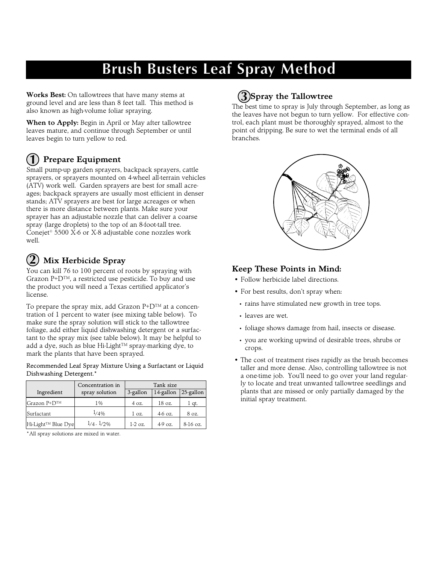# **Brush Busters Leaf Spray Method**

**Works Best:** On tallowtrees that have many stems at ground level and are less than 8 feet tall. This method is also known as high-volume foliar spraying.

**When to Apply:** Begin in April or May after tallowtree leaves mature, and continue through September or until leaves begin to turn yellow to red.

#### **Prepare Equipment 1**

Small pump-up garden sprayers, backpack sprayers, cattle sprayers, or sprayers mounted on 4-wheel all-terrain vehicles (ATV) work well. Garden sprayers are best for small acreages; backpack sprayers are usually most efficient in denser stands; ATV sprayers are best for large acreages or when there is more distance between plants. Make sure your sprayer has an adjustable nozzle that can deliver a coarse spray (large droplets) to the top of an 8-foot-tall tree. Conejet® 5500 X-6 or X-8 adjustable cone nozzles work well.

## **Mix Herbicide Spray 2**

You can kill 76 to 100 percent of roots by spraying with Grazon P+D™, a restricted use pesticide. To buy and use the product you will need a Texas certified applicator's license.

To prepare the spray mix, add Grazon P+D™ at a concentration of 1 percent to water (see mixing table below). To make sure the spray solution will stick to the tallowtree foliage, add either liquid dishwashing detergent or a surfactant to the spray mix (see table below). It may be helpful to add a dye, such as blue Hi-Light™ spray-marking dye, to mark the plants that have been sprayed.

Recommended Leaf Spray Mixture Using a Surfactant or Liquid Dishwashing Detergent.\*

|                                | Concentration in | Tank size |            |              |
|--------------------------------|------------------|-----------|------------|--------------|
| Ingredient                     | spray solution   | 3-gallon  | 14-gallon  | $25$ -gallon |
| Grazon $P+D^{TM}$              | $1\%$            | 4 oz.     | 18 oz.     | qt.          |
| Surfactant                     | $1/4\%$          | 1 oz.     | $4-6.07$ . | 8 oz.        |
| Hi-Light <sup>™</sup> Blue Dye | $1/4 - 1/2\%$    | $1-2$ oz. | $4-9$ oz.  | $8-16$ oz.   |

\*All spray solutions are mixed in water.

# **Spray the Tallowtree 3**

The best time to spray is July through September, as long as the leaves have not begun to turn yellow. For effective control, each plant must be thoroughly sprayed, almost to the point of dripping. Be sure to wet the terminal ends of all branches.



## **Keep These Points in Mind:**

- Follow herbicide label directions.
- For best results, don't spray when:
- rains have stimulated new growth in tree tops.
- leaves are wet.
- foliage shows damage from hail, insects or disease.
- you are working upwind of desirable trees, shrubs or crops.
- The cost of treatment rises rapidly as the brush becomes taller and more dense. Also, controlling tallowtree is not a one-time job. You'll need to go over your land regularly to locate and treat unwanted tallowtree seedlings and plants that are missed or only partially damaged by the initial spray treatment.